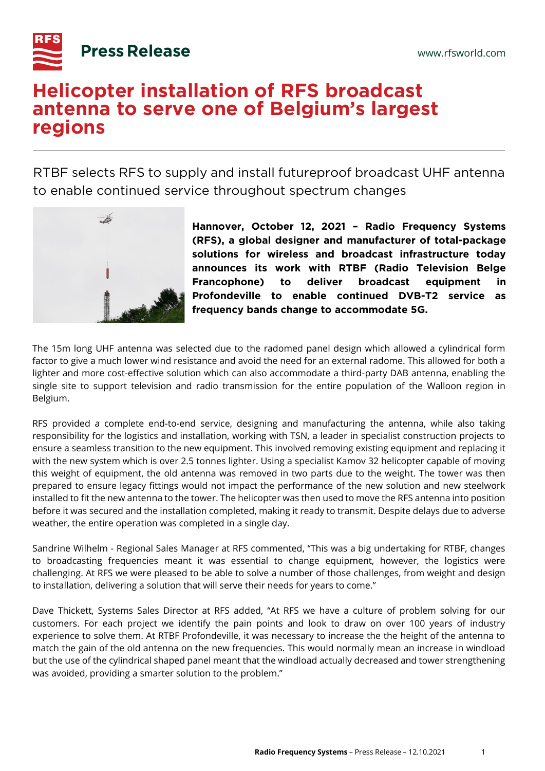

## **Helicopter installation of RFS broadcast antenna to serve one of Belgium's largest regions**

RTBF selects RFS to supply and install futureproof broadcast UHF antenna to enable continued service throughout spectrum changes



**Hannover, October 12, 2021 – Radio Frequency Systems (RFS), a global designer and manufacturer of total-package solutions for wireless and broadcast infrastructure today announces its work with RTBF (Radio Television Belge Francophone) to deliver broadcast equipment in Profondeville to enable continued DVB-T2 service as frequency bands change to accommodate 5G.**

The 15m long UHF antenna was selected due to the radomed panel design which allowed a cylindrical form factor to give a much lower wind resistance and avoid the need for an external radome. This allowed for both a lighter and more cost-effective solution which can also accommodate a third-party DAB antenna, enabling the single site to support television and radio transmission for the entire population of the Walloon region in Belgium.

RFS provided a complete end-to-end service, designing and manufacturing the antenna, while also taking responsibility for the logistics and installation, working with TSN, a leader in specialist construction projects to ensure a seamless transition to the new equipment. This involved removing existing equipment and replacing it with the new system which is over 2.5 tonnes lighter. Using a specialist Kamov 32 helicopter capable of moving this weight of equipment, the old antenna was removed in two parts due to the weight. The tower was then prepared to ensure legacy fittings would not impact the performance of the new solution and new steelwork installed to fit the new antenna to the tower. The helicopter was then used to move the RFS antenna into position before it was secured and the installation completed, making it ready to transmit. Despite delays due to adverse weather, the entire operation was completed in a single day.

Sandrine Wilhelm - Regional Sales Manager at RFS commented, "This was a big undertaking for RTBF, changes to broadcasting frequencies meant it was essential to change equipment, however, the logistics were challenging. At RFS we were pleased to be able to solve a number of those challenges, from weight and design to installation, delivering a solution that will serve their needs for years to come."

Dave Thickett, Systems Sales Director at RFS added, "At RFS we have a culture of problem solving for our customers. For each project we identify the pain points and look to draw on over 100 years of industry experience to solve them. At RTBF Profondeville, it was necessary to increase the the height of the antenna to match the gain of the old antenna on the new frequencies. This would normally mean an increase in windload but the use of the cylindrical shaped panel meant that the windload actually decreased and tower strengthening was avoided, providing a smarter solution to the problem."